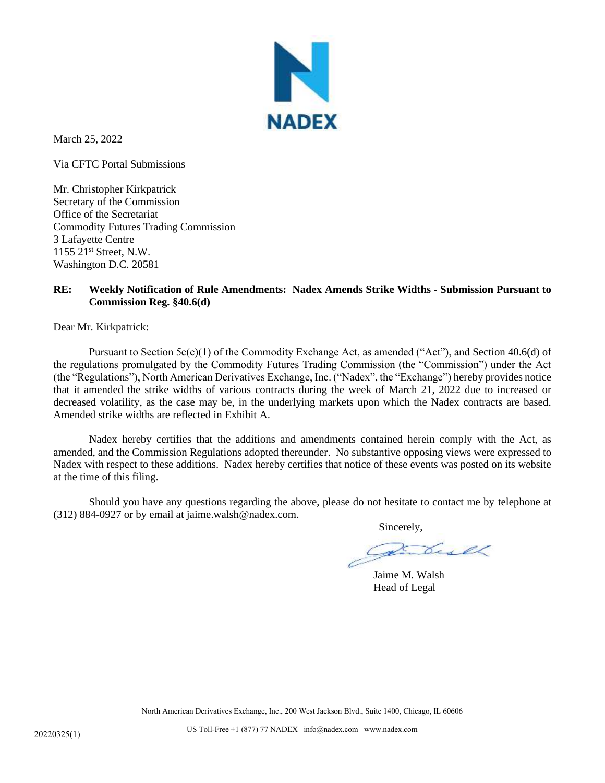

March 25, 2022

Via CFTC Portal Submissions

Mr. Christopher Kirkpatrick Secretary of the Commission Office of the Secretariat Commodity Futures Trading Commission 3 Lafayette Centre 1155 21st Street, N.W. Washington D.C. 20581

## **RE: Weekly Notification of Rule Amendments: Nadex Amends Strike Widths - Submission Pursuant to Commission Reg. §40.6(d)**

Dear Mr. Kirkpatrick:

Pursuant to Section  $5c(c)(1)$  of the Commodity Exchange Act, as amended ("Act"), and Section 40.6(d) of the regulations promulgated by the Commodity Futures Trading Commission (the "Commission") under the Act (the "Regulations"), North American Derivatives Exchange, Inc. ("Nadex", the "Exchange") hereby provides notice that it amended the strike widths of various contracts during the week of March 21, 2022 due to increased or decreased volatility, as the case may be, in the underlying markets upon which the Nadex contracts are based. Amended strike widths are reflected in Exhibit A.

Nadex hereby certifies that the additions and amendments contained herein comply with the Act, as amended, and the Commission Regulations adopted thereunder. No substantive opposing views were expressed to Nadex with respect to these additions. Nadex hereby certifies that notice of these events was posted on its website at the time of this filing.

Should you have any questions regarding the above, please do not hesitate to contact me by telephone at (312) 884-0927 or by email at jaime.walsh@nadex.com.

Sincerely,

Jaime M. Walsh Head of Legal